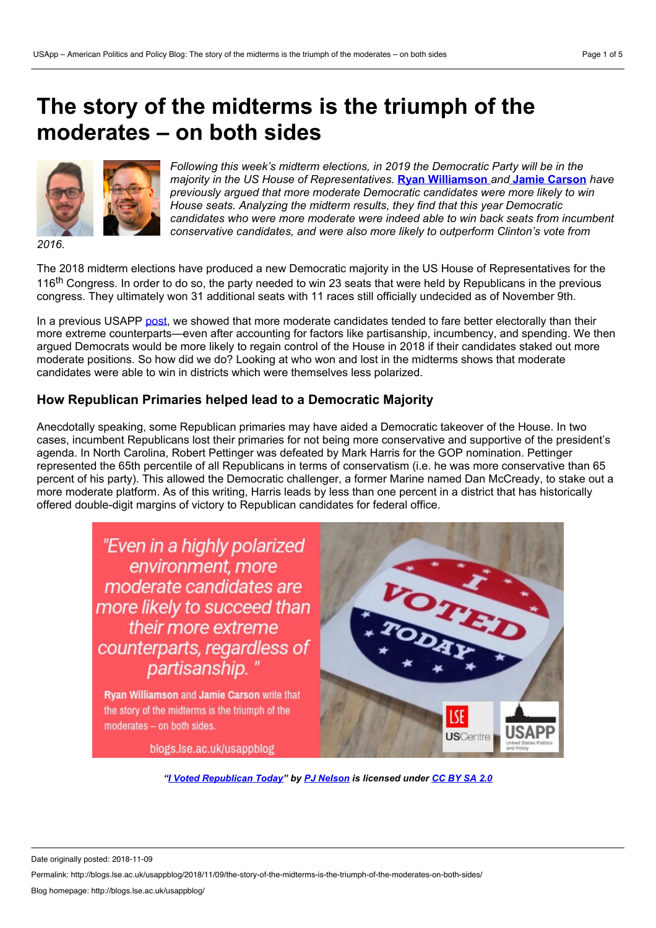# **The story of the midterms is the triumph of the moderates – on both sides**



*Following this week's midterm elections, in 2019 the Democratic Party will be in the majority in the US House of Representatives.* **Ryan [Williamson](https://wp.me/p3I2YF-8jy#Author)** *and* **Jamie [Carson](https://wp.me/p3I2YF-8jy#Author)** *have previously argued that more moderate Democratic candidates were more likely to win House seats. Analyzing the midterm results, they find that this year Democratic candidates who were more moderate were indeed able to win back seats from incumbent conservative candidates, and were also more likely to outperform Clinton's vote from*

*2016.*

The 2018 midterm elections have produced a new Democratic majority in the US House of Representatives for the 116<sup>th</sup> Congress. In order to do so, the party needed to win 23 seats that were held by Republicans in the previous congress. They ultimately won 31 additional seats with 11 races still officially undecided as of November 9th.

In a previous USAPP [post](http://blogs.lse.ac.uk/usappblog/2018/02/01/why-taking-moderate-positions-may-help-the-democrats-to-retake-the-house-this-fall/), we showed that more moderate candidates tended to fare better electorally than their more extreme counterparts—even after accounting for factors like partisanship, incumbency, and spending. We then argued Democrats would be more likely to regain control of the House in 2018 if their candidates staked out more moderate positions. So how did we do? Looking at who won and lost in the midterms shows that moderate candidates were able to win in districts which were themselves less polarized.

# **How Republican Primaries helped lead to a Democratic Majority**

Anecdotally speaking, some Republican primaries may have aided a Democratic takeover of the House. In two cases, incumbent Republicans lost their primaries for not being more conservative and supportive of the president's agenda. In North Carolina, Robert Pettinger was defeated by Mark Harris for the GOP nomination. Pettinger represented the 65th percentile of all Republicans in terms of conservatism (i.e. he was more conservative than 65 percent of his party). This allowed the Democratic challenger, a former Marine named Dan McCready, to stake out a more moderate platform. As of this writing, Harris leads by less than one percent in a district that has historically offered double-digit margins of victory to Republican candidates for federal office.

> "Even in a highly polarized environment, more moderate candidates are more likely to succeed than their more extreme counterparts, regardless of partisanship."

Ryan Williamson and Jamie Carson write that the story of the midterms is the triumph of the moderates - on both sides.

blogs.lse.ac.uk/usappblog



*"I Voted [Republican](https://www.flickr.com/photos/pjnelson/30814028617/) Today" by PJ [Nelson](https://www.flickr.com/photos/pjnelson/) is licensed under [CC](https://creativecommons.org/licenses/by-sa/2.0/) BY SA 2.0*

Date originally posted: 2018-11-09

Permalink: http://blogs.lse.ac.uk/usappblog/2018/11/09/the-story-of-the-midterms-is-the-triumph-of-the-moderates-on-both-sides/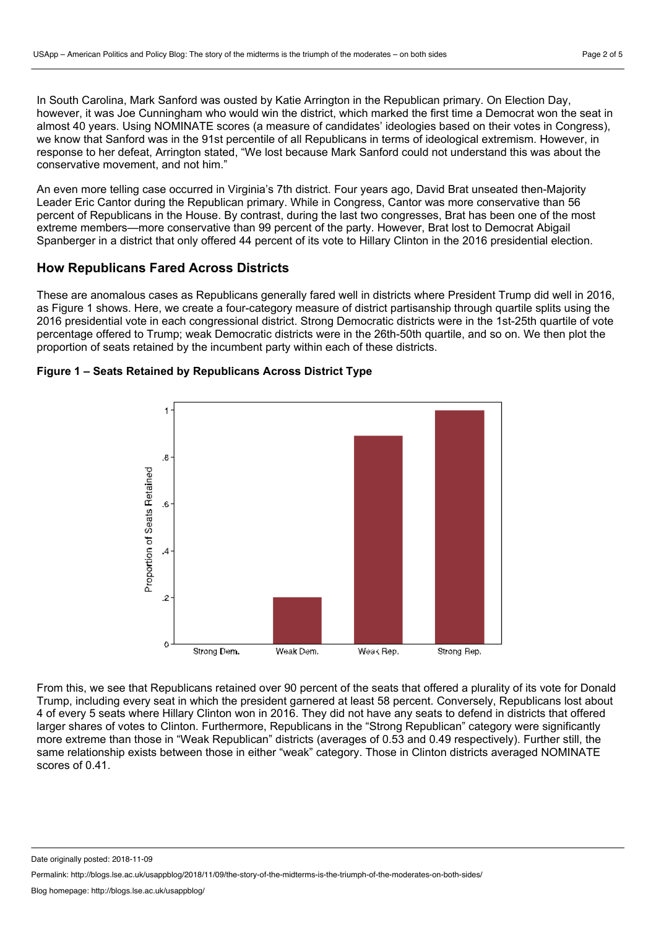In South Carolina, Mark Sanford was ousted by Katie Arrington in the Republican primary. On Election Day, however, it was Joe Cunningham who would win the district, which marked the first time a Democrat won the seat in almost 40 years. Using NOMINATE scores (a measure of candidates' ideologies based on their votes in Congress), we know that Sanford was in the 91st percentile of all Republicans in terms of ideological extremism. However, in response to her defeat, Arrington stated, "We lost because Mark Sanford could not understand this was about the conservative movement, and not him."

An even more telling case occurred in Virginia's 7th district. Four years ago, David Brat unseated then-Majority Leader Eric Cantor during the Republican primary. While in Congress, Cantor was more conservative than 56 percent of Republicans in the House. By contrast, during the last two congresses, Brat has been one of the most extreme members—more conservative than 99 percent of the party. However, Brat lost to Democrat Abigail Spanberger in a district that only offered 44 percent of its vote to Hillary Clinton in the 2016 presidential election.

# **How Republicans Fared Across Districts**

These are anomalous cases as Republicans generally fared well in districts where President Trump did well in 2016, as Figure 1 shows. Here, we create a four-category measure of district partisanship through quartile splits using the 2016 presidential vote in each congressional district. Strong Democratic districts were in the 1st-25th quartile of vote percentage offered to Trump; weak Democratic districts were in the 26th-50th quartile, and so on. We then plot the proportion of seats retained by the incumbent party within each of these districts.



#### **Figure 1 – Seats Retained by Republicans Across District Type**

From this, we see that Republicans retained over 90 percent of the seats that offered a plurality of its vote for Donald Trump, including every seat in which the president garnered at least 58 percent. Conversely, Republicans lost about 4 of every 5 seats where Hillary Clinton won in 2016. They did not have any seats to defend in districts that offered larger shares of votes to Clinton. Furthermore, Republicans in the "Strong Republican" category were significantly more extreme than those in "Weak Republican" districts (averages of 0.53 and 0.49 respectively). Further still, the same relationship exists between those in either "weak" category. Those in Clinton districts averaged NOMINATE scores of 0.41.

Date originally posted: 2018-11-09

Permalink: http://blogs.lse.ac.uk/usappblog/2018/11/09/the-story-of-the-midterms-is-the-triumph-of-the-moderates-on-both-sides/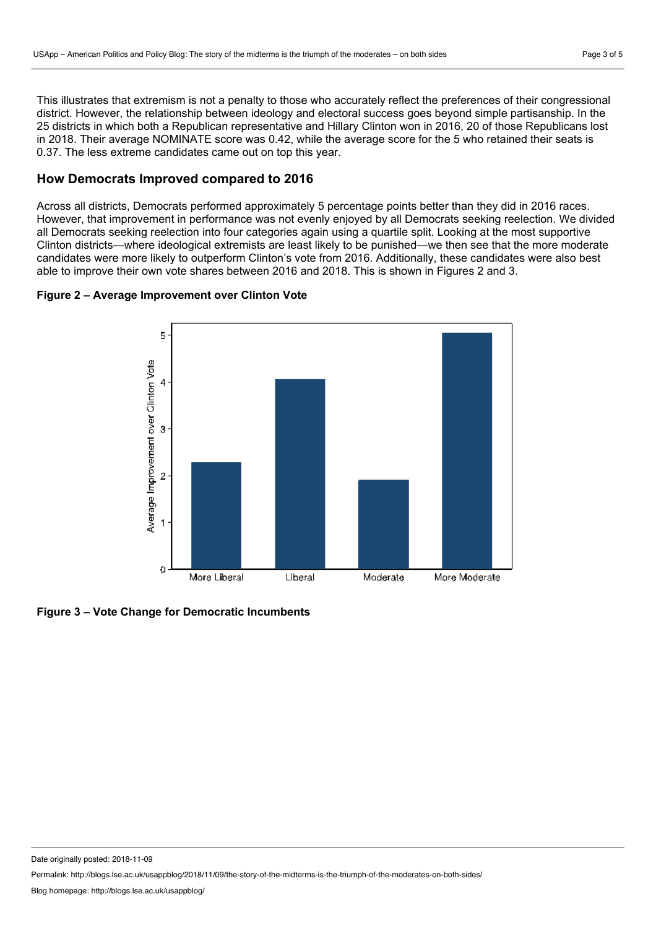This illustrates that extremism is not a penalty to those who accurately reflect the preferences of their congressional district. However, the relationship between ideology and electoral success goes beyond simple partisanship. In the 25 districts in which both a Republican representative and Hillary Clinton won in 2016, 20 of those Republicans lost in 2018. Their average NOMINATE score was 0.42, while the average score for the 5 who retained their seats is 0.37. The less extreme candidates came out on top this year.

#### **How Democrats Improved compared to 2016**

Across all districts, Democrats performed approximately 5 percentage points better than they did in 2016 races. However, that improvement in performance was not evenly enjoyed by all Democrats seeking reelection. We divided all Democrats seeking reelection into four categories again using a quartile split. Looking at the most supportive Clinton districts—where ideological extremists are least likely to be punished—we then see that the more moderate candidates were more likely to outperform Clinton's vote from 2016. Additionally, these candidates were also best able to improve their own vote shares between 2016 and 2018. This is shown in Figures 2 and 3.

### **Figure 2 – Average Improvement over Clinton Vote**





Date originally posted: 2018-11-09

Permalink: http://blogs.lse.ac.uk/usappblog/2018/11/09/the-story-of-the-midterms-is-the-triumph-of-the-moderates-on-both-sides/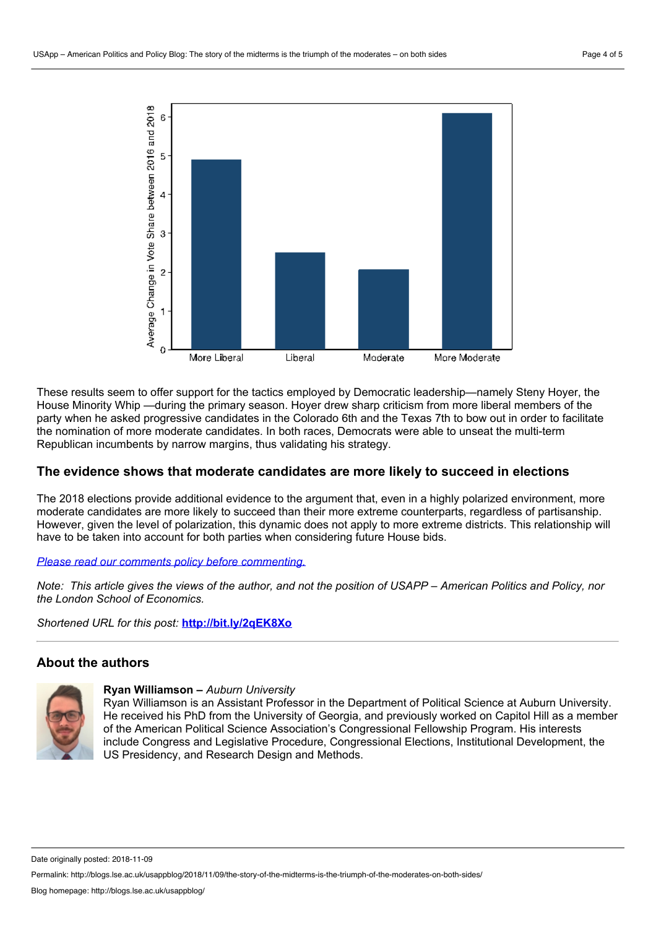

These results seem to offer support for the tactics employed by Democratic leadership—namely Steny Hoyer, the House Minority Whip —during the primary season. Hoyer drew sharp criticism from more liberal members of the party when he asked progressive candidates in the Colorado 6th and the Texas 7th to bow out in order to facilitate the nomination of more moderate candidates. In both races, Democrats were able to unseat the multi-term Republican incumbents by narrow margins, thus validating his strategy.

# **The evidence shows that moderate candidates are more likely to succeed in elections**

The 2018 elections provide additional evidence to the argument that, even in a highly polarized environment, more moderate candidates are more likely to succeed than their more extreme counterparts, regardless of partisanship. However, given the level of polarization, this dynamic does not apply to more extreme districts. This relationship will have to be taken into account for both parties when considering future House bids.

#### *Please read our comments policy before [commenting.](http://blogs.lse.ac.uk/usappblog/comments-policy/)*

Note: This article gives the views of the author, and not the position of USAPP – American Politics and Policy, nor *the London School of Economics.*

*Shortened URL for this post:* **<http://bit.ly/2qEK8Xo>**

#### **About the authors**



#### **Ryan Williamson –** *Auburn University*

Ryan Williamson is an Assistant Professor in the Department of Political Science at Auburn University. He received his PhD from the University of Georgia, and previously worked on Capitol Hill as a member of the American Political Science Association's Congressional Fellowship Program. His interests include Congress and Legislative Procedure, Congressional Elections, Institutional Development, the US Presidency, and Research Design and Methods.

Date originally posted: 2018-11-09

Permalink: http://blogs.lse.ac.uk/usappblog/2018/11/09/the-story-of-the-midterms-is-the-triumph-of-the-moderates-on-both-sides/